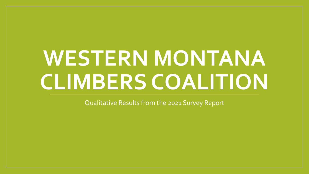# **WESTERN MONTANA CLIMBERS COALITION**

Qualitative Results from the 2021 Survey Report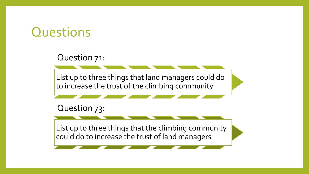#### **Questions**

Question 71:

List up to three things that land managers could do to increase the trust of the climbing community

Question 73:

List up to three things that the climbing community could do to increase the trust of land managers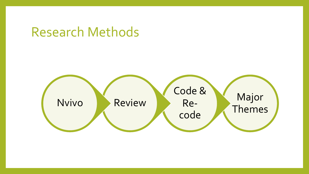#### Research Methods

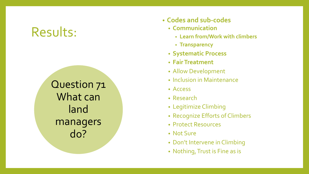Question 71 What can land managers do?

- **Codes and sub -codes**
	- **Communication** 
		- **Learn from/Work with climbers**
		- **Transparency**
	- **Systematic Process**
	- **Fair Treatment**
	- Allow Development<br>• Inclusion in Maintenance
	-
	- Access
	- Research
	- Legitimize Climbing
	- Recognize Efforts of Climbers
	- Protect Resources
	- Not Sure
	- Don't Intervene in Climbing
	- Nothing, Trust is Fine as is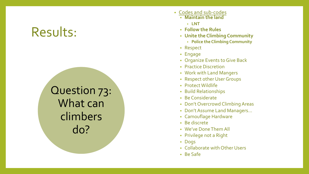Question 73: What can climbers do?

- Codes and sub-codes
	- **Maintain the land**
		- **LNT**
	- **Follow the Rules**
	- **Unite the Climbing Community**
		- **Police the Climbing Community**
	- Respect
	- Engage
	- Organize Events to Give Back
	- Practice Discretion
	- Work with Land Mangers
	- Respect other User Groups
	- Protect Wildlife
	- Build Relationships
	- Be Considerate
	- Don't Overcrowd Climbing Areas
	- Don't Assume Land Managers…
	- Camouflage Hardware
	- Be discrete
	- We've Done Them All
	- Privilege not a Right
	- Dogs
	- Collaborate with Other Users
	- Be Safe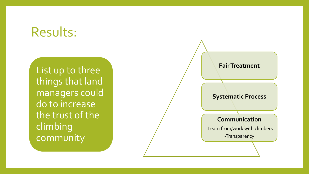List up to three things that land managers could do to increase the trust of the climbing community

## **Fair Treatment Systematic Process Communication** -Learn from/work with climbers -Transparency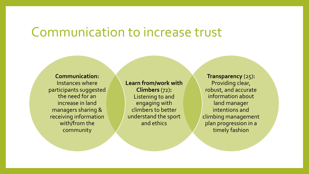#### Communication to increase trust

**Communication:**  Instances where participants suggested the need for an increase in land managers sharing & receiving information with/from the community

**Learn from/work with Climbers** (72)**:**  Listening to and engaging with climbers to better understand the sport and ethics

**Transparency** (25)**:**  Providing clear, robust, and accurate information about land manager intentions and climbing management plan progression in a timely fashion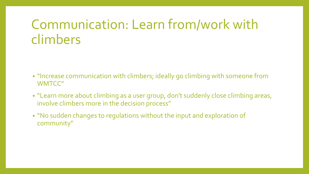## Communication: Learn from/work with climbers

- "Increase communication with climbers; ideally go climbing with someone from WMTCC"
- "Learn more about climbing as a user group, don't suddenly close climbing areas, involve climbers more in the decision process"
- "No sudden changes to regulations without the input and exploration of community"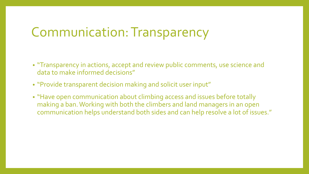#### Communication: Transparency

- "Transparency in actions, accept and review public comments, use science and data to make informed decisions"
- "Provide transparent decision making and solicit user input"
- "Have open communication about climbing access and issues before totally making a ban. Working with both the climbers and land managers in an open communication helps understand both sides and can help resolve a lot of issues."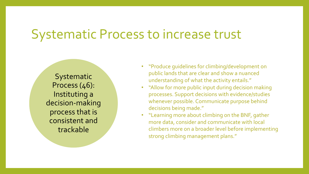#### Systematic Process to increase trust

**Systematic** Process (46): Instituting a decision-making process that is consistent and trackable

- "Produce guidelines for climbing/development on public lands that are clear and show a nuanced understanding of what the activity entails."
- "Allow for more public input during decision making processes. Support decisions with evidence/studies whenever possible. Communicate purpose behind decisions being made."
- "Learning more about climbing on the BNF, gather more data, consider and communicate with local climbers more on a broader level before implementing strong climbing management plans."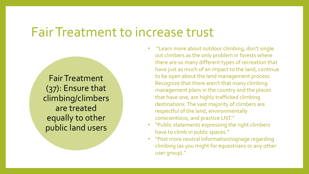#### Fair Treatment to increase trust

Fair Treatment (37): Ensure that climbing/climbers are treated equally to other public land users

- "Learn more about outdoor climbing, don't single out climbers as the only problem in forests where there are so many different types of recreation that have just as much of an impact to the land, continue to be open about the land management process. Recognize that there aren't that many climbing management plans in the country and the places that have one, are highly trafficked climbing destinations. The vast majority of climbers are respectful of the land, environmentally conscientious, and practice LNT."
- "Public statements expressing the right climbers have to climb in public spaces."
- "Post more neutral information/signage regarding climbing (as you might for equestrians or any other user group)."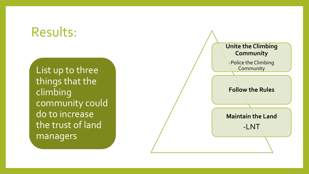List up to three things that the climbing community could do to increase the trust of land managers

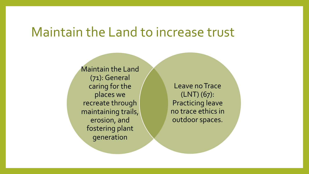#### Maintain the Land to increase trust

Maintain the Land (71): General caring for the places we recreate through maintaining trails, erosion, and fostering plant generation

Leave no Trace (LNT) (67): Practicing leave no trace ethics in outdoor spaces.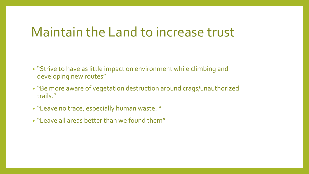#### Maintain the Land to increase trust

- "Strive to have as little impact on environment while climbing and developing new routes"
- "Be more aware of vegetation destruction around crags/unauthorized trails."
- "Leave no trace, especially human waste. "
- "Leave all areas better than we found them"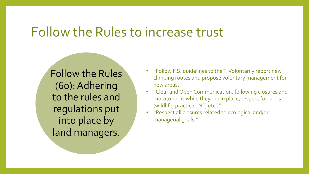#### Follow the Rules to increase trust

Follow the Rules (60): Adhering to the rules and regulations put into place by land managers.

- "Follow F.S. guidelines to the T. Voluntarily report new climbing routes and propose voluntary management for new areas. "
- "Clear and Open Communication, following closures and moratoriums while they are in place, respect for lands (wildlife, practice LNT, etc.)"
- "Respect all closures related to ecological and/or managerial goals."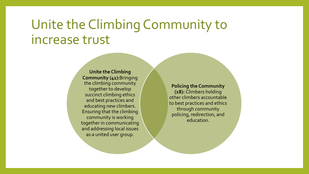### Unite the Climbing Community to increase trust

**Unite the Climbing Community (41):**Bringing the climbing community together to develop succinct climbing ethics and best practices and educating new climbers. Ensuring that the climbing community is working together in communicating and addressing local issues as a united user group.

**Policing the Community (18):** Climbers holding other climbers accountable to best practices and ethics through community policing, redirection, and education.